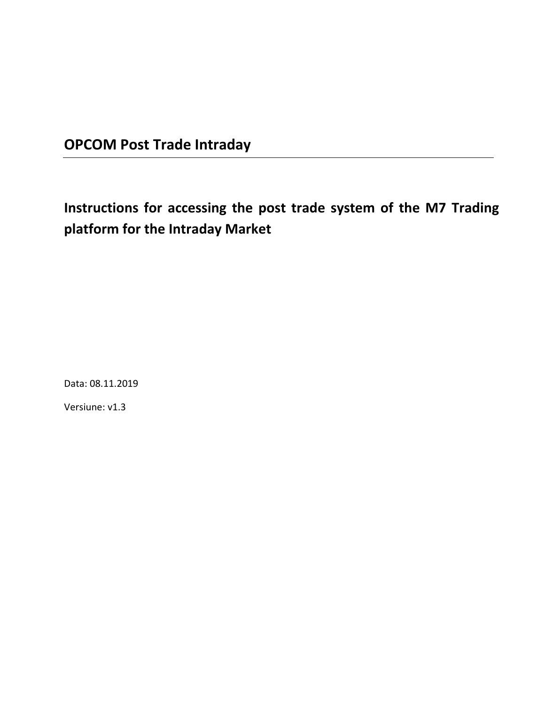## **OPCOM Post Trade Intraday**

# **Instructions for accessing the post trade system of the M7 Trading platform for the Intraday Market**

Data: 08.11.2019

Versiune: v1.3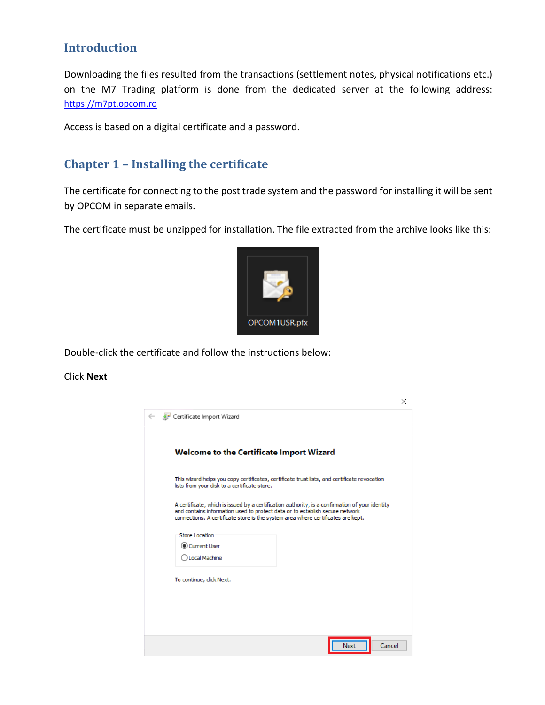## **Introduction**

Downloading the files resulted from the transactions (settlement notes, physical notifications etc.) on the M7 Trading platform is done from the dedicated server at the following address: [https://m7pt.opcom.ro](https://m7pt.opcom.ro/)

Access is based on a digital certificate and a password.

## **Chapter 1 – Installing the certificate**

The certificate for connecting to the post trade system and the password for installing it will be sent by OPCOM in separate emails.

The certificate must be unzipped for installation. The file extracted from the archive looks like this:



Double-click the certificate and follow the instructions below:

#### Click **Next**

| Certificate Import Wizard                                                                                                                                                                                                                                           |                |
|---------------------------------------------------------------------------------------------------------------------------------------------------------------------------------------------------------------------------------------------------------------------|----------------|
| Welcome to the Certificate Import Wizard                                                                                                                                                                                                                            |                |
| This wizard helps you copy certificates, certificate trust lists, and certificate revocation<br>lists from your disk to a certificate store.                                                                                                                        |                |
| A certificate, which is issued by a certification authority, is a confirmation of your identity<br>and contains information used to protect data or to establish secure network<br>connections. A certificate store is the system area where certificates are kept. |                |
| Store Location                                                                                                                                                                                                                                                      |                |
| Current User                                                                                                                                                                                                                                                        |                |
| Local Machine                                                                                                                                                                                                                                                       |                |
| To continue, click Next.                                                                                                                                                                                                                                            |                |
|                                                                                                                                                                                                                                                                     |                |
|                                                                                                                                                                                                                                                                     |                |
|                                                                                                                                                                                                                                                                     |                |
|                                                                                                                                                                                                                                                                     | Cancel<br>Next |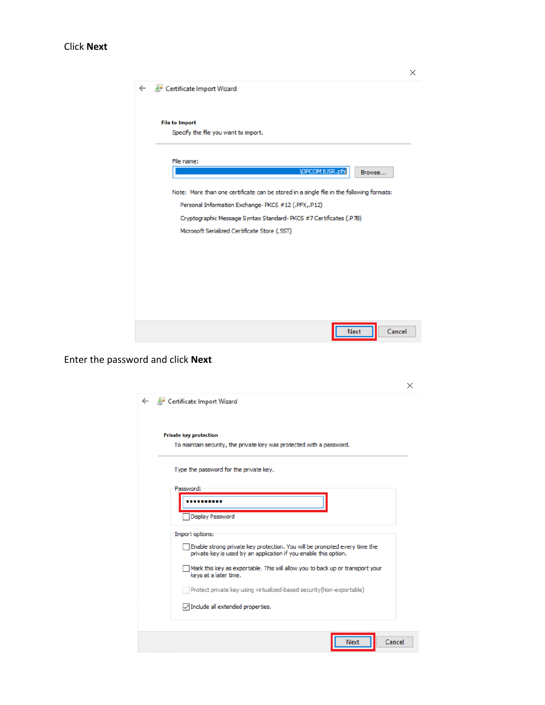#### Click **Next**

| Certificate Import Wizard                                                                |  |  |  |  |  |
|------------------------------------------------------------------------------------------|--|--|--|--|--|
| <b>File to Import</b><br>Specify the file you want to import.                            |  |  |  |  |  |
| File name:                                                                               |  |  |  |  |  |
| <b>\OPCOM1USR.pfx</b><br>Browse                                                          |  |  |  |  |  |
| Note: More than one certificate can be stored in a single file in the following formats: |  |  |  |  |  |
| Personal Information Exchange-PKCS #12 (.PFX,.P12)                                       |  |  |  |  |  |
| Cryptographic Message Syntax Standard-PKCS #7 Certificates (.P7B)                        |  |  |  |  |  |
| Microsoft Serialized Certificate Store (.SST)                                            |  |  |  |  |  |
|                                                                                          |  |  |  |  |  |
|                                                                                          |  |  |  |  |  |
|                                                                                          |  |  |  |  |  |
|                                                                                          |  |  |  |  |  |
|                                                                                          |  |  |  |  |  |
|                                                                                          |  |  |  |  |  |
| Cancel<br>Next                                                                           |  |  |  |  |  |

Enter the password and click **Next**

| <b>Private key protection</b>                                                                                                                 |
|-----------------------------------------------------------------------------------------------------------------------------------------------|
| To maintain security, the private key was protected with a password.                                                                          |
| Type the password for the private key.                                                                                                        |
| Password:                                                                                                                                     |
|                                                                                                                                               |
| Display Password                                                                                                                              |
| Import options:                                                                                                                               |
| Enable strong private key protection. You will be prompted every time the<br>private key is used by an application if you enable this option. |
| Mark this key as exportable. This will allow you to back up or transport your<br>keys at a later time.                                        |
| Protect private key using virtualized-based security(Non-exportable)                                                                          |
| $\triangledown$ Include all extended properties.                                                                                              |

 $\times$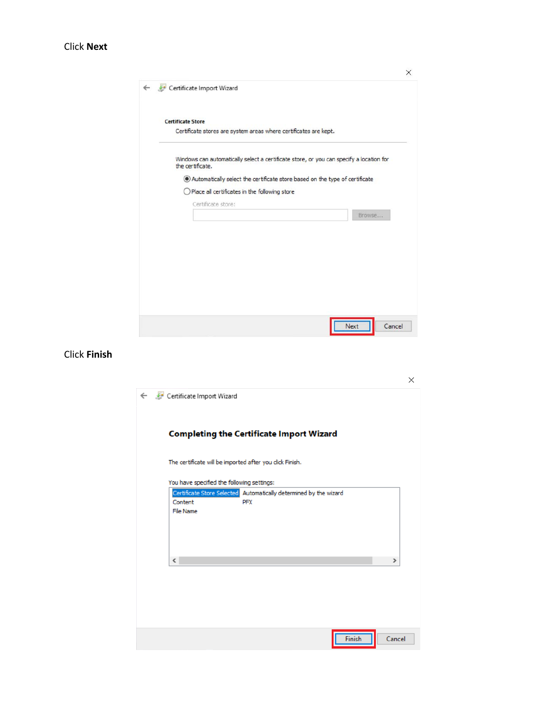#### Click **Next**

| <b>Certificate Store</b> |                                                                                         |  |        |
|--------------------------|-----------------------------------------------------------------------------------------|--|--------|
|                          | Certificate stores are system areas where certificates are kept.                        |  |        |
| the certificate.         | Windows can automatically select a certificate store, or you can specify a location for |  |        |
|                          | Automatically select the certificate store based on the type of certificate             |  |        |
|                          | $\bigcirc$ Place all certificates in the following store                                |  |        |
|                          | Certificate store:                                                                      |  |        |
|                          |                                                                                         |  | Browse |
|                          |                                                                                         |  |        |
|                          |                                                                                         |  |        |
|                          |                                                                                         |  |        |
|                          |                                                                                         |  |        |
|                          |                                                                                         |  |        |
|                          |                                                                                         |  |        |

#### Click **Finish**

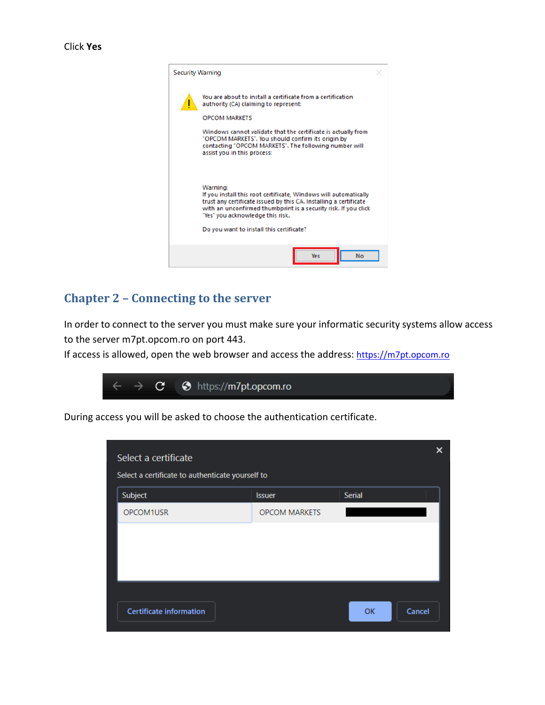

### **Chapter 2 – Connecting to the server**

In order to connect to the server you must make sure your informatic security systems allow access to the server m7pt.opcom.ro on port 443.

If access is allowed, open the web browser and access the address[: https://m7pt.opcom.ro](https://m7pt.opcom.ro/)



During access you will be asked to choose the authentication certificate.

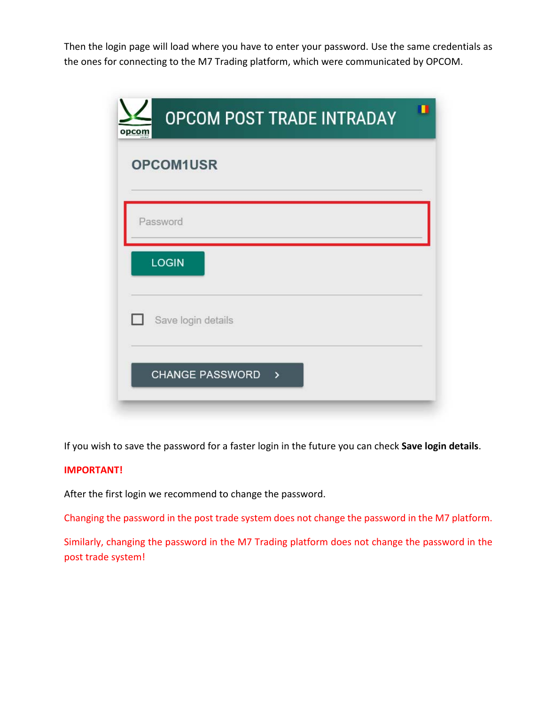Then the login page will load where you have to enter your password. Use the same credentials as the ones for connecting to the M7 Trading platform, which were communicated by OPCOM.

| <b>OPCOM POST TRADE INTRADAY</b><br>opcom    |  |
|----------------------------------------------|--|
| OPCOM1USR                                    |  |
| Password                                     |  |
| <b>LOGIN</b>                                 |  |
| Save login details<br>n                      |  |
| <b>CHANGE PASSWORD</b><br>$\mathbf{\lambda}$ |  |

If you wish to save the password for a faster login in the future you can check **Save login details**.

#### **IMPORTANT!**

After the first login we recommend to change the password.

Changing the password in the post trade system does not change the password in the M7 platform.

Similarly, changing the password in the M7 Trading platform does not change the password in the post trade system!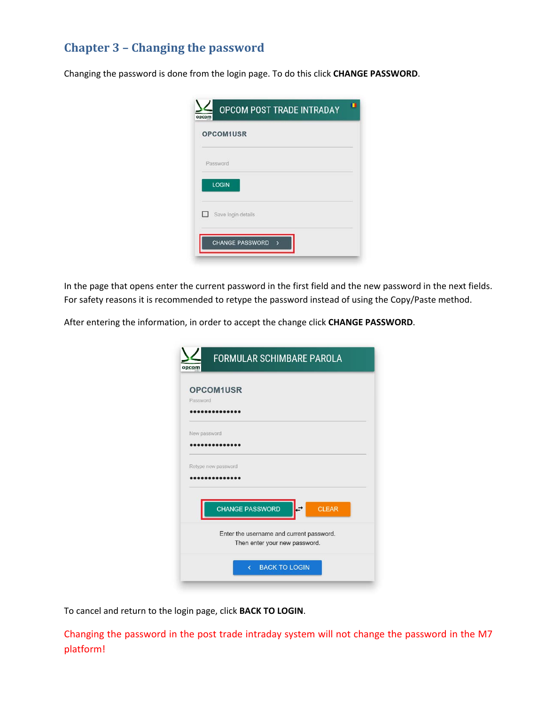## **Chapter 3 – Changing the password**

Changing the password is done from the login page. To do this click **CHANGE PASSWORD**.

|   | OPCOM1USR          |  |
|---|--------------------|--|
|   | Password           |  |
|   | LOGIN              |  |
| П | Save login details |  |

In the page that opens enter the current password in the first field and the new password in the next fields. For safety reasons it is recommended to retype the password instead of using the Copy/Paste method.

After entering the information, in order to accept the change click **CHANGE PASSWORD**.

|              | <b>OPCOM1USR</b>                         |
|--------------|------------------------------------------|
| Password     |                                          |
|              |                                          |
| New password |                                          |
|              | $••••••••••••••$                         |
|              | Retype new password                      |
|              |                                          |
|              |                                          |
|              | <b>CHANGE PASSWORD</b><br><b>CLEAR</b>   |
|              |                                          |
|              | Enter the username and current password. |

To cancel and return to the login page, click **BACK TO LOGIN**.

Changing the password in the post trade intraday system will not change the password in the M7 platform!